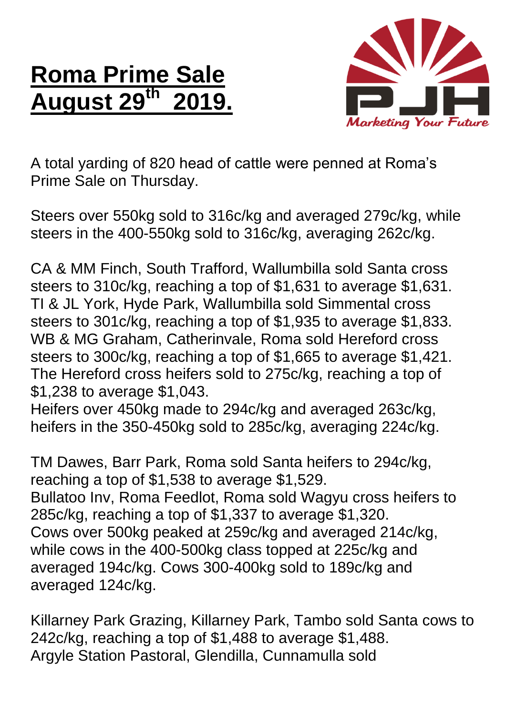## **Roma Prime Sale August 29 th 2019.**



A total yarding of 820 head of cattle were penned at Roma's Prime Sale on Thursday.

Steers over 550kg sold to 316c/kg and averaged 279c/kg, while steers in the 400-550kg sold to 316c/kg, averaging 262c/kg.

CA & MM Finch, South Trafford, Wallumbilla sold Santa cross steers to 310c/kg, reaching a top of \$1,631 to average \$1,631. TI & JL York, Hyde Park, Wallumbilla sold Simmental cross steers to 301c/kg, reaching a top of \$1,935 to average \$1,833. WB & MG Graham, Catherinvale, Roma sold Hereford cross steers to 300c/kg, reaching a top of \$1,665 to average \$1,421. The Hereford cross heifers sold to 275c/kg, reaching a top of \$1,238 to average \$1,043.

Heifers over 450kg made to 294c/kg and averaged 263c/kg, heifers in the 350-450kg sold to 285c/kg, averaging 224c/kg.

TM Dawes, Barr Park, Roma sold Santa heifers to 294c/kg, reaching a top of \$1,538 to average \$1,529. Bullatoo Inv, Roma Feedlot, Roma sold Wagyu cross heifers to 285c/kg, reaching a top of \$1,337 to average \$1,320. Cows over 500kg peaked at 259c/kg and averaged 214c/kg, while cows in the 400-500kg class topped at 225c/kg and averaged 194c/kg. Cows 300-400kg sold to 189c/kg and averaged 124c/kg.

Killarney Park Grazing, Killarney Park, Tambo sold Santa cows to 242c/kg, reaching a top of \$1,488 to average \$1,488. Argyle Station Pastoral, Glendilla, Cunnamulla sold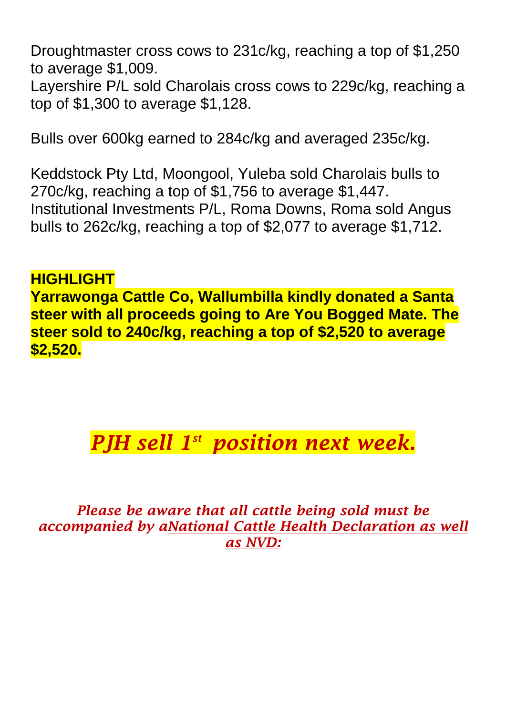Droughtmaster cross cows to 231c/kg, reaching a top of \$1,250 to average \$1,009.

Layershire P/L sold Charolais cross cows to 229c/kg, reaching a top of \$1,300 to average \$1,128.

Bulls over 600kg earned to 284c/kg and averaged 235c/kg.

Keddstock Pty Ltd, Moongool, Yuleba sold Charolais bulls to 270c/kg, reaching a top of \$1,756 to average \$1,447. Institutional Investments P/L, Roma Downs, Roma sold Angus bulls to 262c/kg, reaching a top of \$2,077 to average \$1,712.

## **HIGHLIGHT Yarrawonga Cattle Co, Wallumbilla kindly donated a Santa steer with all proceeds going to Are You Bogged Mate. The steer sold to 240c/kg, reaching a top of \$2,520 to average \$2,520.**

## *PJH sell 1 st position next week.*

*Please be aware that all cattle being sold must be accompanied by aNational Cattle Health Declaration as well as NVD:*